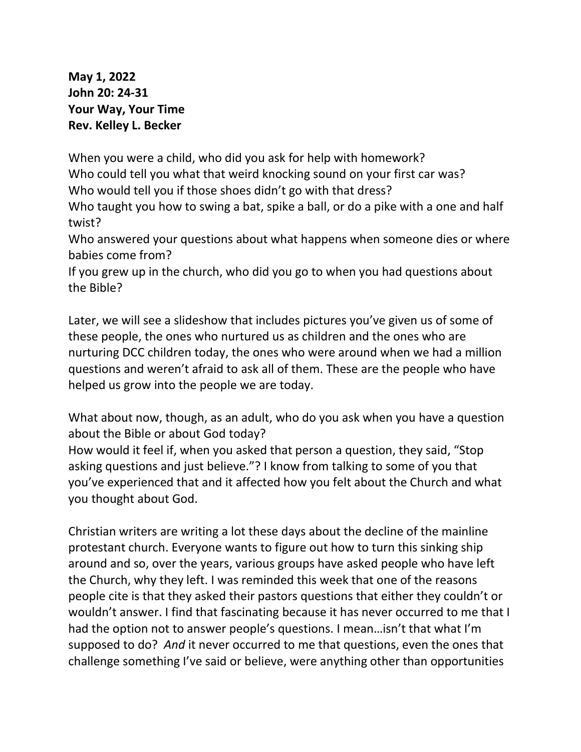**May 1, 2022 John 20: 24-31 Your Way, Your Time Rev. Kelley L. Becker**

When you were a child, who did you ask for help with homework? Who could tell you what that weird knocking sound on your first car was? Who would tell you if those shoes didn't go with that dress?

Who taught you how to swing a bat, spike a ball, or do a pike with a one and half twist?

Who answered your questions about what happens when someone dies or where babies come from?

If you grew up in the church, who did you go to when you had questions about the Bible?

Later, we will see a slideshow that includes pictures you've given us of some of these people, the ones who nurtured us as children and the ones who are nurturing DCC children today, the ones who were around when we had a million questions and weren't afraid to ask all of them. These are the people who have helped us grow into the people we are today.

What about now, though, as an adult, who do you ask when you have a question about the Bible or about God today?

How would it feel if, when you asked that person a question, they said, "Stop asking questions and just believe."? I know from talking to some of you that you've experienced that and it affected how you felt about the Church and what you thought about God.

Christian writers are writing a lot these days about the decline of the mainline protestant church. Everyone wants to figure out how to turn this sinking ship around and so, over the years, various groups have asked people who have left the Church, why they left. I was reminded this week that one of the reasons people cite is that they asked their pastors questions that either they couldn't or wouldn't answer. I find that fascinating because it has never occurred to me that I had the option not to answer people's questions. I mean…isn't that what I'm supposed to do? *And* it never occurred to me that questions, even the ones that challenge something I've said or believe, were anything other than opportunities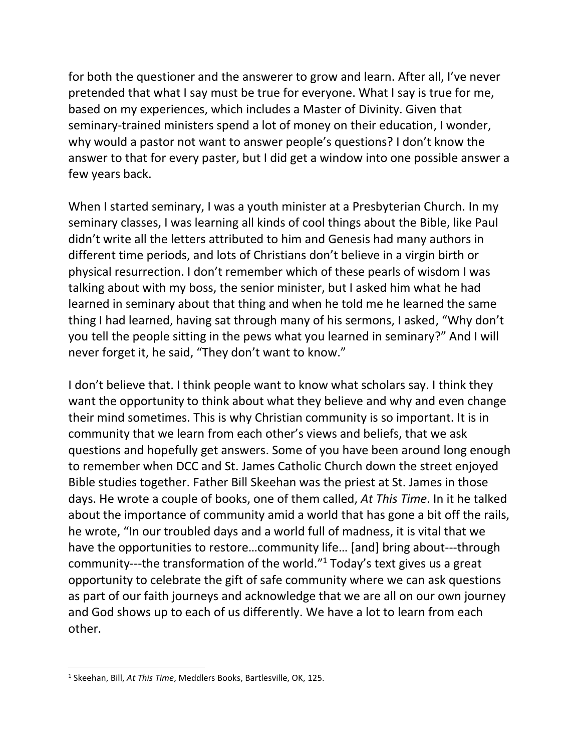for both the questioner and the answerer to grow and learn. After all, I've never pretended that what I say must be true for everyone. What I say is true for me, based on my experiences, which includes a Master of Divinity. Given that seminary-trained ministers spend a lot of money on their education, I wonder, why would a pastor not want to answer people's questions? I don't know the answer to that for every paster, but I did get a window into one possible answer a few years back.

When I started seminary, I was a youth minister at a Presbyterian Church. In my seminary classes, I was learning all kinds of cool things about the Bible, like Paul didn't write all the letters attributed to him and Genesis had many authors in different time periods, and lots of Christians don't believe in a virgin birth or physical resurrection. I don't remember which of these pearls of wisdom I was talking about with my boss, the senior minister, but I asked him what he had learned in seminary about that thing and when he told me he learned the same thing I had learned, having sat through many of his sermons, I asked, "Why don't you tell the people sitting in the pews what you learned in seminary?" And I will never forget it, he said, "They don't want to know."

I don't believe that. I think people want to know what scholars say. I think they want the opportunity to think about what they believe and why and even change their mind sometimes. This is why Christian community is so important. It is in community that we learn from each other's views and beliefs, that we ask questions and hopefully get answers. Some of you have been around long enough to remember when DCC and St. James Catholic Church down the street enjoyed Bible studies together. Father Bill Skeehan was the priest at St. James in those days. He wrote a couple of books, one of them called, *At This Time*. In it he talked about the importance of community amid a world that has gone a bit off the rails, he wrote, "In our troubled days and a world full of madness, it is vital that we have the opportunities to restore…community life… [and] bring about---through community---the transformation of the world." <sup>1</sup> Today's text gives us a great opportunity to celebrate the gift of safe community where we can ask questions as part of our faith journeys and acknowledge that we are all on our own journey and God shows up to each of us differently. We have a lot to learn from each other.

<sup>1</sup> Skeehan, Bill, *At This Time*, Meddlers Books, Bartlesville, OK, 125.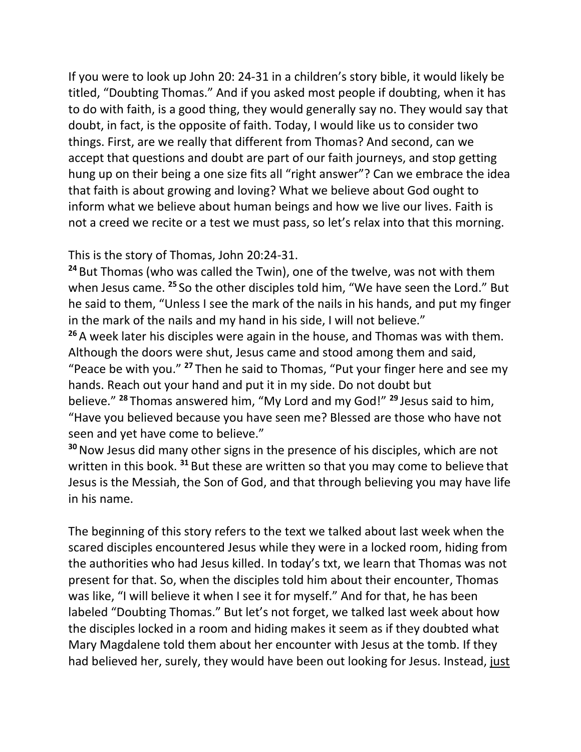If you were to look up John 20: 24-31 in a children's story bible, it would likely be titled, "Doubting Thomas." And if you asked most people if doubting, when it has to do with faith, is a good thing, they would generally say no. They would say that doubt, in fact, is the opposite of faith. Today, I would like us to consider two things. First, are we really that different from Thomas? And second, can we accept that questions and doubt are part of our faith journeys, and stop getting hung up on their being a one size fits all "right answer"? Can we embrace the idea that faith is about growing and loving? What we believe about God ought to inform what we believe about human beings and how we live our lives. Faith is not a creed we recite or a test we must pass, so let's relax into that this morning.

This is the story of Thomas, John 20:24-31.

**<sup>24</sup>** But Thomas (who was called the Twin), one of the twelve, was not with them when Jesus came. **<sup>25</sup>** So the other disciples told him, "We have seen the Lord." But he said to them, "Unless I see the mark of the nails in his hands, and put my finger in the mark of the nails and my hand in his side, I will not believe."

**<sup>26</sup>** A week later his disciples were again in the house, and Thomas was with them. Although the doors were shut, Jesus came and stood among them and said, "Peace be with you." **<sup>27</sup>** Then he said to Thomas, "Put your finger here and see my hands. Reach out your hand and put it in my side. Do not doubt but believe." **<sup>28</sup>** Thomas answered him, "My Lord and my God!" **<sup>29</sup>** Jesus said to him, "Have you believed because you have seen me? Blessed are those who have not seen and yet have come to believe."

**<sup>30</sup>**Now Jesus did many other signs in the presence of his disciples, which are not written in this book. **<sup>31</sup>** But these are written so that you may come to believe that Jesus is the Messiah, the Son of God, and that through believing you may have life in his name.

The beginning of this story refers to the text we talked about last week when the scared disciples encountered Jesus while they were in a locked room, hiding from the authorities who had Jesus killed. In today's txt, we learn that Thomas was not present for that. So, when the disciples told him about their encounter, Thomas was like, "I will believe it when I see it for myself." And for that, he has been labeled "Doubting Thomas." But let's not forget, we talked last week about how the disciples locked in a room and hiding makes it seem as if they doubted what Mary Magdalene told them about her encounter with Jesus at the tomb. If they had believed her, surely, they would have been out looking for Jesus. Instead, just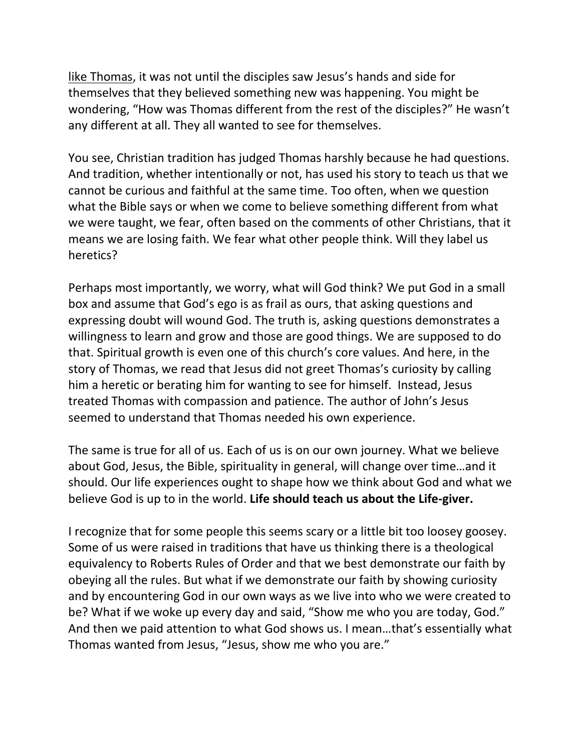like Thomas, it was not until the disciples saw Jesus's hands and side for themselves that they believed something new was happening. You might be wondering, "How was Thomas different from the rest of the disciples?" He wasn't any different at all. They all wanted to see for themselves.

You see, Christian tradition has judged Thomas harshly because he had questions. And tradition, whether intentionally or not, has used his story to teach us that we cannot be curious and faithful at the same time. Too often, when we question what the Bible says or when we come to believe something different from what we were taught, we fear, often based on the comments of other Christians, that it means we are losing faith. We fear what other people think. Will they label us heretics?

Perhaps most importantly, we worry, what will God think? We put God in a small box and assume that God's ego is as frail as ours, that asking questions and expressing doubt will wound God. The truth is, asking questions demonstrates a willingness to learn and grow and those are good things. We are supposed to do that. Spiritual growth is even one of this church's core values. And here, in the story of Thomas, we read that Jesus did not greet Thomas's curiosity by calling him a heretic or berating him for wanting to see for himself. Instead, Jesus treated Thomas with compassion and patience. The author of John's Jesus seemed to understand that Thomas needed his own experience.

The same is true for all of us. Each of us is on our own journey. What we believe about God, Jesus, the Bible, spirituality in general, will change over time…and it should. Our life experiences ought to shape how we think about God and what we believe God is up to in the world. **Life should teach us about the Life-giver.**

I recognize that for some people this seems scary or a little bit too loosey goosey. Some of us were raised in traditions that have us thinking there is a theological equivalency to Roberts Rules of Order and that we best demonstrate our faith by obeying all the rules. But what if we demonstrate our faith by showing curiosity and by encountering God in our own ways as we live into who we were created to be? What if we woke up every day and said, "Show me who you are today, God." And then we paid attention to what God shows us. I mean…that's essentially what Thomas wanted from Jesus, "Jesus, show me who you are."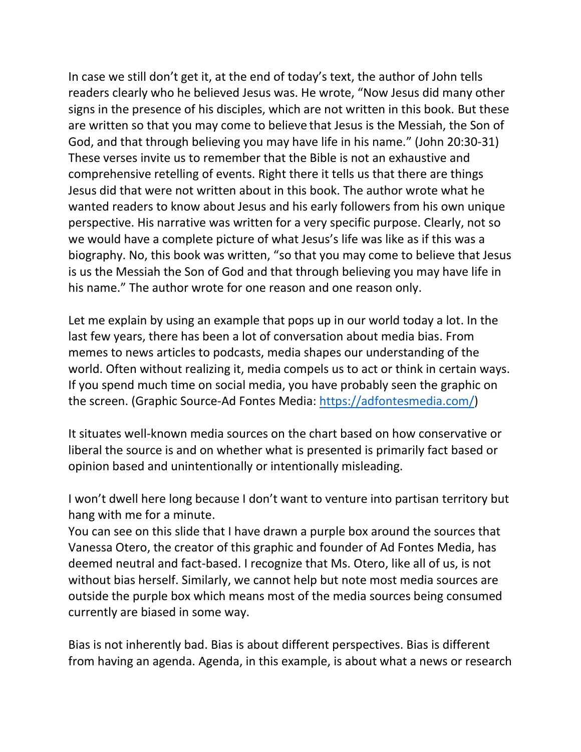In case we still don't get it, at the end of today's text, the author of John tells readers clearly who he believed Jesus was. He wrote, "Now Jesus did many other signs in the presence of his disciples, which are not written in this book. But these are written so that you may come to believe that Jesus is the Messiah, the Son of God, and that through believing you may have life in his name." (John 20:30-31) These verses invite us to remember that the Bible is not an exhaustive and comprehensive retelling of events. Right there it tells us that there are things Jesus did that were not written about in this book. The author wrote what he wanted readers to know about Jesus and his early followers from his own unique perspective. His narrative was written for a very specific purpose. Clearly, not so we would have a complete picture of what Jesus's life was like as if this was a biography. No, this book was written, "so that you may come to believe that Jesus is us the Messiah the Son of God and that through believing you may have life in his name." The author wrote for one reason and one reason only.

Let me explain by using an example that pops up in our world today a lot. In the last few years, there has been a lot of conversation about media bias. From memes to news articles to podcasts, media shapes our understanding of the world. Often without realizing it, media compels us to act or think in certain ways. If you spend much time on social media, you have probably seen the graphic on the screen. (Graphic Source-Ad Fontes Media: [https://adfontesmedia.com/\)](https://adfontesmedia.com/)

It situates well-known media sources on the chart based on how conservative or liberal the source is and on whether what is presented is primarily fact based or opinion based and unintentionally or intentionally misleading.

I won't dwell here long because I don't want to venture into partisan territory but hang with me for a minute.

You can see on this slide that I have drawn a purple box around the sources that Vanessa Otero, the creator of this graphic and founder of Ad Fontes Media, has deemed neutral and fact-based. I recognize that Ms. Otero, like all of us, is not without bias herself. Similarly, we cannot help but note most media sources are outside the purple box which means most of the media sources being consumed currently are biased in some way.

Bias is not inherently bad. Bias is about different perspectives. Bias is different from having an agenda. Agenda, in this example, is about what a news or research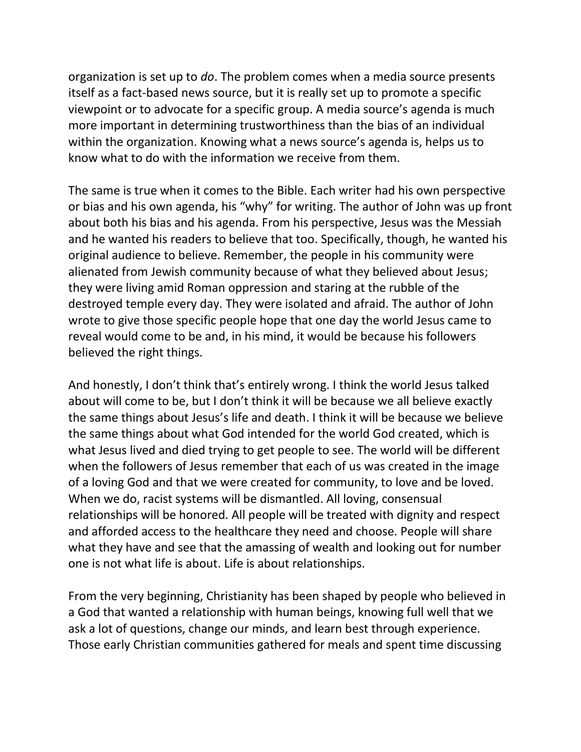organization is set up to *do*. The problem comes when a media source presents itself as a fact-based news source, but it is really set up to promote a specific viewpoint or to advocate for a specific group. A media source's agenda is much more important in determining trustworthiness than the bias of an individual within the organization. Knowing what a news source's agenda is, helps us to know what to do with the information we receive from them.

The same is true when it comes to the Bible. Each writer had his own perspective or bias and his own agenda, his "why" for writing. The author of John was up front about both his bias and his agenda. From his perspective, Jesus was the Messiah and he wanted his readers to believe that too. Specifically, though, he wanted his original audience to believe. Remember, the people in his community were alienated from Jewish community because of what they believed about Jesus; they were living amid Roman oppression and staring at the rubble of the destroyed temple every day. They were isolated and afraid. The author of John wrote to give those specific people hope that one day the world Jesus came to reveal would come to be and, in his mind, it would be because his followers believed the right things.

And honestly, I don't think that's entirely wrong. I think the world Jesus talked about will come to be, but I don't think it will be because we all believe exactly the same things about Jesus's life and death. I think it will be because we believe the same things about what God intended for the world God created, which is what Jesus lived and died trying to get people to see. The world will be different when the followers of Jesus remember that each of us was created in the image of a loving God and that we were created for community, to love and be loved. When we do, racist systems will be dismantled. All loving, consensual relationships will be honored. All people will be treated with dignity and respect and afforded access to the healthcare they need and choose. People will share what they have and see that the amassing of wealth and looking out for number one is not what life is about. Life is about relationships.

From the very beginning, Christianity has been shaped by people who believed in a God that wanted a relationship with human beings, knowing full well that we ask a lot of questions, change our minds, and learn best through experience. Those early Christian communities gathered for meals and spent time discussing